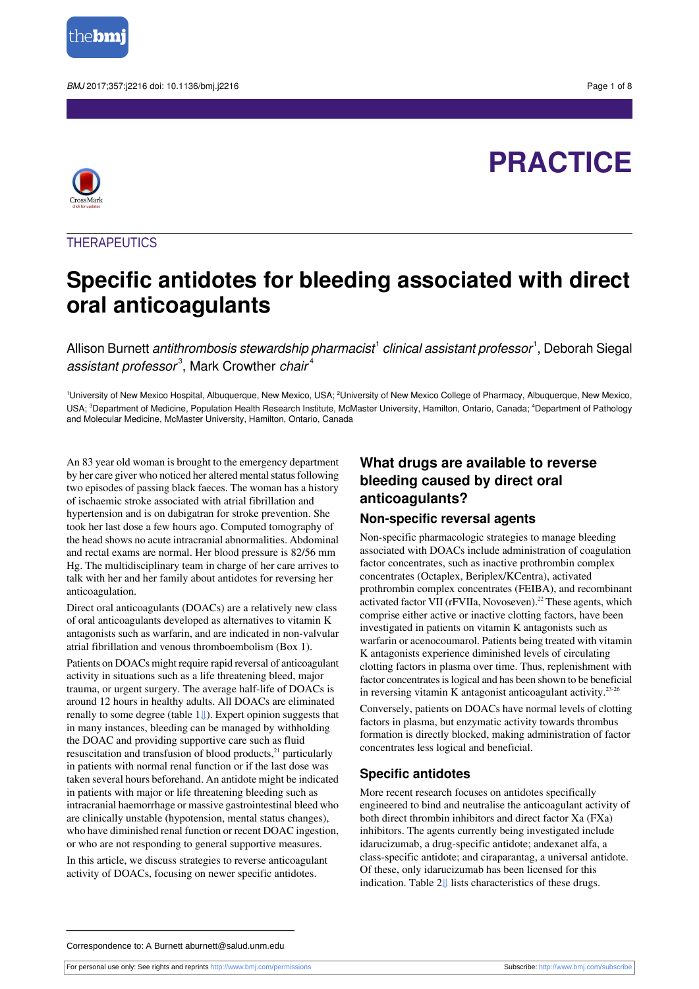



### **THERAPEUTICS**

## **Specific antidotes for bleeding associated with direct oral anticoagulants**

Allison Burnett *antithrombosis stewardship pharmacist<sup>1</sup> clinical assistant professor<sup>1</sup>, Deborah Siegal* assistant professor<sup>3</sup>, Mark Crowther chair<sup>4</sup>

<sup>1</sup>University of New Mexico Hospital, Albuquerque, New Mexico, USA; <sup>2</sup>University of New Mexico College of Pharmacy, Albuquerque, New Mexico, USA; <sup>3</sup>Department of Medicine, Population Health Research Institute, McMaster University, Hamilton, Ontario, Canada; <sup>4</sup>Department of Pathology and Molecular Medicine, McMaster University, Hamilton, Ontario, Canada

An 83 year old woman is brought to the emergency department by her care giver who noticed her altered mental status following two episodes of passing black faeces. The woman has a history of ischaemic stroke associated with atrial fibrillation and hypertension and is on dabigatran for stroke prevention. She took her last dose a few hours ago. Computed tomography of the head shows no acute intracranial abnormalities. Abdominal and rectal exams are normal. Her blood pressure is 82/56 mm Hg. The multidisciplinary team in charge of her care arrives to talk with her and her family about antidotes for reversing her anticoagulation.

Direct oral anticoagulants (DOACs) are a relatively new class of oral anticoagulants developed as alternatives to vitamin K antagonists such as warfarin, and are indicated in non-valvular atrial fibrillation and venous thromboembolism (Box 1).

Patients on DOACs might require rapid reversal of anticoagulant activity in situations such as a life threatening bleed, major trauma, or urgent surgery. The average half-life of DOACs is around 12 hours in healthy adults. All DOACs are eliminated renally to some degree (table 1[⇓\)](#page-4-0). Expert opinion suggests that in many instances, bleeding can be managed by withholding the DOAC and providing supportive care such as fluid resuscitation and transfusion of blood products, $^{21}$  particularly in patients with normal renal function or if the last dose was taken several hours beforehand. An antidote might be indicated in patients with major or life threatening bleeding such as intracranial haemorrhage or massive gastrointestinal bleed who are clinically unstable (hypotension, mental status changes), who have diminished renal function or recent DOAC ingestion, or who are not responding to general supportive measures.

In this article, we discuss strategies to reverse anticoagulant activity of DOACs, focusing on newer specific antidotes.

### **What drugs are available to reverse bleeding caused by direct oral anticoagulants?**

#### **Non-specific reversal agents**

Non-specific pharmacologic strategies to manage bleeding associated with DOACs include administration of coagulation factor concentrates, such as inactive prothrombin complex concentrates (Octaplex, Beriplex/KCentra), activated prothrombin complex concentrates (FEIBA), and recombinant activated factor VII (rFVIIa, Novoseven).<sup>22</sup> These agents, which comprise either active or inactive clotting factors, have been investigated in patients on vitamin K antagonists such as warfarin or acenocoumarol. Patients being treated with vitamin K antagonists experience diminished levels of circulating clotting factors in plasma over time. Thus, replenishment with factor concentrates is logical and has been shown to be beneficial in reversing vitamin K antagonist anticoagulant activity.<sup>23-26</sup>

Conversely, patients on DOACs have normal levels of clotting factors in plasma, but enzymatic activity towards thrombus formation is directly blocked, making administration of factor concentrates less logical and beneficial.

#### **Specific antidotes**

More recent research focuses on antidotes specifically engineered to bind and neutralise the anticoagulant activity of both direct thrombin inhibitors and direct factor Xa (FXa) inhibitors. The agents currently being investigated include idarucizumab, a drug-specific antidote; andexanet alfa, a class-specific antidote; and ciraparantag, a universal antidote. Of these, only idarucizumab has been licensed for this indication. Table 2[⇓](#page-5-0) lists characteristics of these drugs.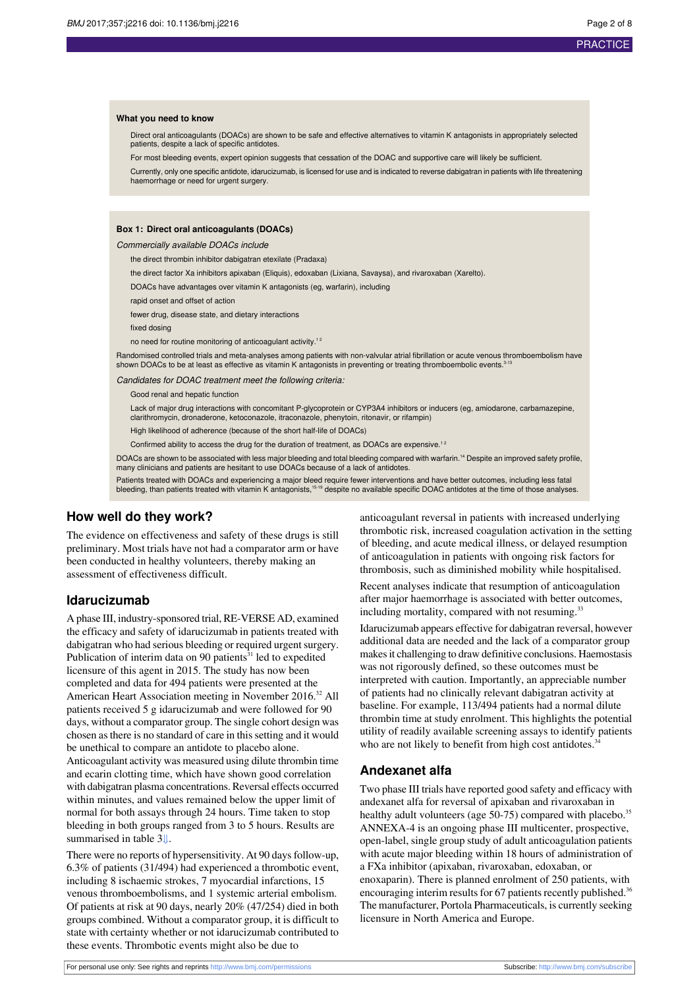#### **What you need to know**

Direct oral anticoagulants (DOACs) are shown to be safe and effective alternatives to vitamin K antagonists in appropriately selected patients, despite a lack of specific antidotes.

For most bleeding events, expert opinion suggests that cessation of the DOAC and supportive care will likely be sufficient.

Currently, only one specific antidote, idarucizumab, is licensed for use and is indicated to reverse dabigatran in patients with life threatening haemorrhage or need for urgent surgery.

#### **Box 1: Direct oral anticoagulants (DOACs)**

Commercially available DOACs include

the direct thrombin inhibitor dabigatran etexilate (Pradaxa)

the direct factor Xa inhibitors apixaban (Eliquis), edoxaban (Lixiana, Savaysa), and rivaroxaban (Xarelto).

DOACs have advantages over vitamin K antagonists (eg, warfarin), including

rapid onset and offset of action

fewer drug, disease state, and dietary interactions

fixed dosing

no need for routine monitoring of anticoagulant activity.<sup>12</sup>

Randomised controlled trials and meta-analyses among patients with non-valvular atrial fibrillation or acute venous thromboembolism have shown DOACs to be at least as effective as vitamin K antagonists in preventing or treating thromboembolic events.<sup>3-1</sup>

Candidates for DOAC treatment meet the following criteria:

Good renal and hepatic function

Lack of major drug interactions with concomitant P-glycoprotein or CYP3A4 inhibitors or inducers (eg, amiodarone, carbamazepine, clarithromycin, dronaderone, ketoconazole, itraconazole, phenytoin, ritonavir, or rifampin)

High likelihood of adherence (because of the short half-life of DOACs)

Confirmed ability to access the drug for the duration of treatment, as DOACs are expensive.<sup>12</sup>

DOACs are shown to be associated with less major bleeding and total bleeding compared with warfarin.<sup>14</sup> Despite an improved safety profile, many clinicians and patients are hesitant to use DOACs because of a lack of antidotes.

Patients treated with DOACs and experiencing a major bleed require fewer interventions and have better outcomes, including less fatal bleeding, than patients treated with vitamin K antagonists,<sup>15-19</sup> despite no available specific DOAC antidotes at the time of those analyses.

#### **How well do they work?**

The evidence on effectiveness and safety of these drugs is still preliminary. Most trials have not had a comparator arm or have been conducted in healthy volunteers, thereby making an assessment of effectiveness difficult.

### **Idarucizumab**

A phase III, industry-sponsored trial, RE-VERSE AD, examined the efficacy and safety of idarucizumab in patients treated with dabigatran who had serious bleeding or required urgent surgery. Publication of interim data on 90 patients $31$  led to expedited licensure of this agent in 2015. The study has now been completed and data for 494 patients were presented at the American Heart Association meeting in November 2016.<sup>32</sup> All patients received 5 g idarucizumab and were followed for 90 days, without a comparator group. The single cohort design was chosen as there is no standard of care in this setting and it would be unethical to compare an antidote to placebo alone. Anticoagulant activity was measured using dilute thrombin time and ecarin clotting time, which have shown good correlation with dabigatran plasma concentrations. Reversal effects occurred within minutes, and values remained below the upper limit of normal for both assays through 24 hours. Time taken to stop bleeding in both groups ranged from 3 to 5 hours. Results are summarised in table 3[⇓.](#page-6-0)

There were no reports of hypersensitivity. At 90 days follow-up, 6.3% of patients (31/494) had experienced a thrombotic event, including 8 ischaemic strokes, 7 myocardial infarctions, 15 venous thromboembolisms, and 1 systemic arterial embolism. Of patients at risk at 90 days, nearly 20% (47/254) died in both groups combined. Without a comparator group, it is difficult to state with certainty whether or not idarucizumab contributed to these events. Thrombotic events might also be due to

anticoagulant reversal in patients with increased underlying thrombotic risk, increased coagulation activation in the setting of bleeding, and acute medical illness, or delayed resumption of anticoagulation in patients with ongoing risk factors for thrombosis, such as diminished mobility while hospitalised.

Recent analyses indicate that resumption of anticoagulation after major haemorrhage is associated with better outcomes, including mortality, compared with not resuming.<sup>33</sup>

Idarucizumab appears effective for dabigatran reversal, however additional data are needed and the lack of a comparator group makes it challenging to draw definitive conclusions. Haemostasis was not rigorously defined, so these outcomes must be interpreted with caution. Importantly, an appreciable number of patients had no clinically relevant dabigatran activity at baseline. For example, 113/494 patients had a normal dilute thrombin time at study enrolment. This highlights the potential utility of readily available screening assays to identify patients who are not likely to benefit from high cost antidotes.<sup>3</sup>

### **Andexanet alfa**

Two phase III trials have reported good safety and efficacy with andexanet alfa for reversal of apixaban and rivaroxaban in healthy adult volunteers (age  $50-75$ ) compared with placebo.<sup>35</sup> ANNEXA-4 is an ongoing phase III multicenter, prospective, open-label, single group study of adult anticoagulation patients with acute major bleeding within 18 hours of administration of a FXa inhibitor (apixaban, rivaroxaban, edoxaban, or enoxaparin). There is planned enrolment of 250 patients, with encouraging interim results for 67 patients recently published.<sup>36</sup> The manufacturer, Portola Pharmaceuticals, is currently seeking licensure in North America and Europe.

For personal use only: See rights and reprints<http://www.bmj.com/permissions> Subscribe: <http://www.bmj.com/subscribe>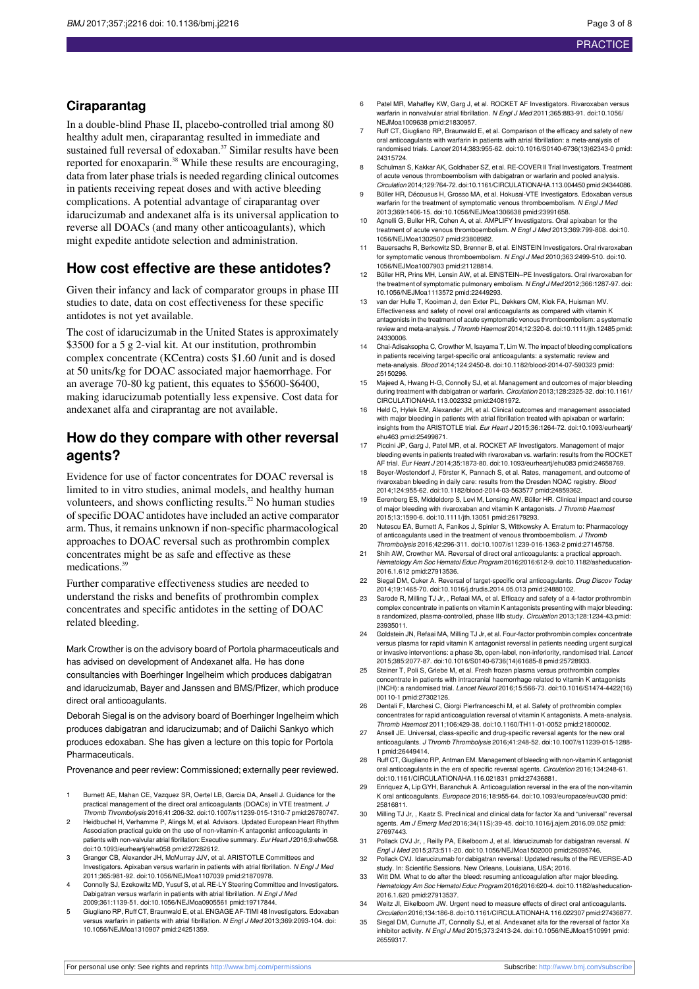### **Ciraparantag**

In a double-blind Phase II, placebo-controlled trial among 80 healthy adult men, ciraparantag resulted in immediate and sustained full reversal of edoxaban.<sup>37</sup> Similar results have been reported for enoxaparin.<sup>38</sup> While these results are encouraging, data from later phase trials is needed regarding clinical outcomes in patients receiving repeat doses and with active bleeding complications. A potential advantage of ciraparantag over idarucizumab and andexanet alfa is its universal application to reverse all DOACs (and many other anticoagulants), which might expedite antidote selection and administration.

### **How cost effective are these antidotes?**

Given their infancy and lack of comparator groups in phase III studies to date, data on cost effectiveness for these specific antidotes is not yet available.

The cost of idarucizumab in the United States is approximately \$3500 for a 5 g 2-vial kit. At our institution, prothrombin complex concentrate (KCentra) costs \$1.60 /unit and is dosed at 50 units/kg for DOAC associated major haemorrhage. For an average 70-80 kg patient, this equates to \$5600-\$6400, making idarucizumab potentially less expensive. Cost data for andexanet alfa and ciraprantag are not available.

### **How do they compare with other reversal agents?**

Evidence for use of factor concentrates for DOAC reversal is limited to in vitro studies, animal models, and healthy human volunteers, and shows conflicting results.<sup>22</sup> No human studies of specific DOAC antidotes have included an active comparator arm. Thus, it remains unknown if non-specific pharmacological approaches to DOAC reversal such as prothrombin complex concentrates might be as safe and effective as these medications.<sup>39</sup>

Further comparative effectiveness studies are needed to understand the risks and benefits of prothrombin complex concentrates and specific antidotes in the setting of DOAC related bleeding.

Mark Crowther is on the advisory board of Portola pharmaceuticals and has advised on development of Andexanet alfa. He has done consultancies with Boerhinger Ingelheim which produces dabigatran and idarucizumab, Bayer and Janssen and BMS/Pfizer, which produce direct oral anticoagulants.

Deborah Siegal is on the advisory board of Boerhinger Ingelheim which produces dabigatran and idarucizumab; and of Daiichi Sankyo which produces edoxaban. She has given a lecture on this topic for Portola **Pharmaceuticals** 

Provenance and peer review: Commissioned; externally peer reviewed.

- 1 Burnett AE, Mahan CE, Vazquez SR, Oertel LB, Garcia DA, Ansell J. Guidance for the practical management of the direct oral anticoagulants (DOACs) in VTE treatment. J Thromb Thrombolysis 2016;41:206-32. [doi:10.1007/s11239-015-1310-7](http://dx.doi.org/10.1007/s11239-015-1310-7) [pmid:26780747](http://www.ncbi.nlm.nih.gov/pubmed/?term=26780747).
- 2 Heidbuchel H, Verhamme P, Alings M, et al. Advisors. Updated European Heart Rhythm Association practical guide on the use of non-vitamin-K antagonist anticoagulants in patients with non-valvular atrial fibrillation: Executive summary. Eur Heart J2016;9:ehw058. [doi:10.1093/eurheartj/ehw058](http://dx.doi.org/10.1093/eurheartj/ehw058) [pmid:27282612.](http://www.ncbi.nlm.nih.gov/pubmed/?term=27282612)
- 3 Granger CB, Alexander JH, McMurray JJV, et al. ARISTOTLE Committees and Investigators. Apixaban versus warfarin in patients with atrial fibrillation. N Engl J Med 2011;365:981-92. [doi:10.1056/NEJMoa1107039](http://dx.doi.org/10.1056/NEJMoa1107039) [pmid:21870978](http://www.ncbi.nlm.nih.gov/pubmed/?term=21870978).
- 4 Connolly SJ, Ezekowitz MD, Yusuf S, et al. RE-LY Steering Committee and Investigators. Dabigatran versus warfarin in patients with atrial fibrillation. N Engl J Med 2009;361:1139-51. [doi:10.1056/NEJMoa0905561](http://dx.doi.org/10.1056/NEJMoa0905561) [pmid:19717844](http://www.ncbi.nlm.nih.gov/pubmed/?term=19717844).
- 5 Giugliano RP, Ruff CT, Braunwald E, et al. ENGAGE AF-TIMI 48 Investigators. Edoxaban versus warfarin in patients with atrial fibrillation. N Engl J Med 2013;369:2093-104. [doi:](http://dx.doi.org/10.1056/NEJMoa1310907) [10.1056/NEJMoa1310907](http://dx.doi.org/10.1056/NEJMoa1310907) [pmid:24251359.](http://www.ncbi.nlm.nih.gov/pubmed/?term=24251359)
- 6 Patel MR, Mahaffey KW, Garg J, et al. ROCKET AF Investigators. Rivaroxaban versus warfarin in nonvalvular atrial fibrillation. N Engl J Med 2011;365:883-91. [doi:10.1056/](http://dx.doi.org/10.1056/NEJMoa1009638) [NEJMoa1009638](http://dx.doi.org/10.1056/NEJMoa1009638) [pmid:21830957.](http://www.ncbi.nlm.nih.gov/pubmed/?term=21830957)
- Ruff CT, Giugliano RP, Braunwald E, et al. Comparison of the efficacy and safety of new oral anticoagulants with warfarin in patients with atrial fibrillation: a meta-analysis of randomised trials. Lancet 2014;383:955-62. [doi:10.1016/S0140-6736\(13\)62343-0](http://dx.doi.org/10.1016/S0140-6736(13)62343-0) [pmid:](http://www.ncbi.nlm.nih.gov/pubmed/?term=24315724) [24315724.](http://www.ncbi.nlm.nih.gov/pubmed/?term=24315724)
- 8 Schulman S, Kakkar AK, Goldhaber SZ, et al. RE-COVER II Trial Investigators. Treatr of acute venous thromboembolism with dabigatran or warfarin and pooled analysis. Circulation 2014;129:764-72. [doi:10.1161/CIRCULATIONAHA.113.004450](http://dx.doi.org/10.1161/CIRCULATIONAHA.113.004450) [pmid:24344086](http://www.ncbi.nlm.nih.gov/pubmed/?term=24344086).
- 9 Büller HR, Décousus H, Grosso MA, et al. Hokusai-VTE Investigators. Edoxaban versus warfarin for the treatment of symptomatic venous thromboembolism. N Engl J Med. 2013;369:1406-15. [doi:10.1056/NEJMoa1306638](http://dx.doi.org/10.1056/NEJMoa1306638) [pmid:23991658](http://www.ncbi.nlm.nih.gov/pubmed/?term=23991658).
- 10 Agnelli G, Buller HR, Cohen A, et al. AMPLIFY Investigators. Oral apixaban for the treatment of acute venous thromboembolism. N Engl J Med 2013;369:799-808. [doi:10.](http://dx.doi.org/10.1056/NEJMoa1302507) [1056/NEJMoa1302507](http://dx.doi.org/10.1056/NEJMoa1302507) [pmid:23808982.](http://www.ncbi.nlm.nih.gov/pubmed/?term=23808982)
- 11 Bauersachs R, Berkowitz SD, Brenner B, et al. EINSTEIN Investigators. Oral rivaroxaban for symptomatic venous thromboembolism. N Engl J Med 2010;363:2499-510. [doi:10.](http://dx.doi.org/10.1056/NEJMoa1007903) [1056/NEJMoa1007903](http://dx.doi.org/10.1056/NEJMoa1007903) [pmid:21128814.](http://www.ncbi.nlm.nih.gov/pubmed/?term=21128814)
- 12 Büller HR, Prins MH, Lensin AW, et al. EINSTEIN–PE Investigators. Oral rivaroxaban for the treatment of symptomatic pulmonary embolism. N Engl J Med 2012;366:1287-97. [doi:](http://dx.doi.org/10.1056/NEJMoa1113572) [10.1056/NEJMoa1113572](http://dx.doi.org/10.1056/NEJMoa1113572) [pmid:22449293](http://www.ncbi.nlm.nih.gov/pubmed/?term=22449293).
- 13 van der Hulle T, Kooiman J, den Exter PL, Dekkers OM, Klok FA, Huisman MV. Effectiveness and safety of novel oral anticoagulants as compared with vitamin K antagonists in the treatment of acute symptomatic venous thromboembolism: a systematic review and meta-analysis. J Thromb Haemost 2014;12:320-8. [doi:10.1111/jth.12485](http://dx.doi.org/10.1111/jth.12485) [pmid:](http://www.ncbi.nlm.nih.gov/pubmed/?term=24330006) [24330006.](http://www.ncbi.nlm.nih.gov/pubmed/?term=24330006)
- 14 Chai-Adisaksopha C, Crowther M, Isayama T, Lim W. The impact of bleeding complications in patients receiving target-specific oral anticoagulants: a systematic review and meta-analysis. Blood 2014;124:2450-8. [doi:10.1182/blood-2014-07-590323](http://dx.doi.org/10.1182/blood-2014-07-590323) [pmid:](http://www.ncbi.nlm.nih.gov/pubmed/?term=25150296) [25150296.](http://www.ncbi.nlm.nih.gov/pubmed/?term=25150296)
- 15 Majeed A, Hwang H-G, Connolly SJ, et al. Management and outcomes of major bleeding during treatment with dabigatran or warfarin. Circulation 2013;128:2325-32. [doi:10.1161/](http://dx.doi.org/10.1161/CIRCULATIONAHA.113.002332) [CIRCULATIONAHA.113.002332](http://dx.doi.org/10.1161/CIRCULATIONAHA.113.002332) [pmid:24081972](http://www.ncbi.nlm.nih.gov/pubmed/?term=24081972).
- 16 Held C, Hylek EM, Alexander JH, et al. Clinical outcomes and management associated with major bleeding in patients with atrial fibrillation treated with apixaban or warfarin: insights from the ARISTOTLE trial. Eur Heart J 2015;36:1264-72. doi:10.1093/eurhearti [ehu463](http://dx.doi.org/10.1093/eurheartj/ehu463) [pmid:25499871.](http://www.ncbi.nlm.nih.gov/pubmed/?term=25499871)
- 17 Piccini JP, Garg J, Patel MR, et al. ROCKET AF Investigators. Management of major bleeding events in patients treated with rivaroxaban vs. warfarin: results from the ROCKET AF trial. Eur Heart J 2014;35:1873-80. [doi:10.1093/eurheartj/ehu083](http://dx.doi.org/10.1093/eurheartj/ehu083) [pmid:24658769](http://www.ncbi.nlm.nih.gov/pubmed/?term=24658769).
- 18 Beyer-Westendorf J, Förster K, Pannach S, et al. Rates, management, and outcome of rivaroxaban bleeding in daily care: results from the Dresden NOAC registry. Blood 2014;124:955-62. [doi:10.1182/blood-2014-03-563577](http://dx.doi.org/10.1182/blood-2014-03-563577) [pmid:24859362.](http://www.ncbi.nlm.nih.gov/pubmed/?term=24859362)
- 19 Eerenberg ES, Middeldorp S, Levi M, Lensing AW, Büller HR. Clinical impact and course of major bleeding with rivaroxaban and vitamin K antagonists. J Thromb Haemost 2015;13:1590-6. [doi:10.1111/jth.13051](http://dx.doi.org/10.1111/jth.13051) [pmid:26179293.](http://www.ncbi.nlm.nih.gov/pubmed/?term=26179293)
- 20 Nutescu EA, Burnett A, Fanikos J, Spinler S, Wittkowsky A. Erratum to: Pharma of anticoagulants used in the treatment of venous thromboembolism. J Thromb Thrombolysis 2016;42:296-311. [doi:10.1007/s11239-016-1363-2](http://dx.doi.org/10.1007/s11239-016-1363-2) [pmid:27145758.](http://www.ncbi.nlm.nih.gov/pubmed/?term=27145758)
- 21 Shih AW, Crowther MA. Reversal of direct oral anticoagulants: a practical approach. Hematology Am Soc Hematol Educ Program 2016;2016:612-9. [doi:10.1182/asheducation-](http://dx.doi.org/10.1182/asheducation-2016.1.612)[2016.1.612](http://dx.doi.org/10.1182/asheducation-2016.1.612) [pmid:27913536](http://www.ncbi.nlm.nih.gov/pubmed/?term=27913536).
- 22 Siegal DM, Cuker A. Reversal of target-specific oral anticoagulants. Drug Discov Today 2014;19:1465-70. [doi:10.1016/j.drudis.2014.05.013](http://dx.doi.org/10.1016/j.drudis.2014.05.013) [pmid:24880102.](http://www.ncbi.nlm.nih.gov/pubmed/?term=24880102)
- 23 Sarode R, Milling TJ Jr, , Refaai MA, et al. Efficacy and safety of a 4-factor prothrombin complex concentrate in patients on vitamin K antagonists presenting with major bleeding: a randomized, plasma-controlled, phase IIIb study. Circulation 2013;128:1234-43.[pmid:](http://www.ncbi.nlm.nih.gov/pubmed/?term=23935011) [23935011.](http://www.ncbi.nlm.nih.gov/pubmed/?term=23935011)
- 24 Goldstein JN, Refaai MA, Milling TJ Jr, et al. Four-factor prothrombin complex concentrate versus plasma for rapid vitamin K antagonist reversal in patients needing urgent surgical or invasive interventions: a phase 3b, open-label, non-inferiority, randomised trial. Lancet 2015;385:2077-87. [doi:10.1016/S0140-6736\(14\)61685-8](http://dx.doi.org/10.1016/S0140-6736(14)61685-8) [pmid:25728933](http://www.ncbi.nlm.nih.gov/pubmed/?term=25728933).
- 25 Steiner T, Poli S, Griebe M, et al. Fresh frozen plasma versus prothrombin complex concentrate in patients with intracranial haemorrhage related to vitamin K antagonists (INCH): a randomised trial. Lancet Neurol 2016;15:566-73. [doi:10.1016/S1474-4422\(16\)](http://dx.doi.org/10.1016/S1474-4422(16)00110-1) [00110-1](http://dx.doi.org/10.1016/S1474-4422(16)00110-1) [pmid:27302126.](http://www.ncbi.nlm.nih.gov/pubmed/?term=27302126)
- 26 Dentali F, Marchesi C, Giorgi Pierfranceschi M, et al. Safety of prothrombin complex concentrates for rapid anticoagulation reversal of vitamin K antagonists. A meta-analysis. Thromb Haemost 2011;106:429-38. [doi:10.1160/TH11-01-0052](http://dx.doi.org/10.1160/TH11-01-0052) [pmid:21800002](http://www.ncbi.nlm.nih.gov/pubmed/?term=21800002).
- 27 Ansell JE. Universal, class-specific and drug-specific reversal agents for the new oral anticoagulants. J Thromb Thrombolysis 2016;41:248-52. [doi:10.1007/s11239-015-1288-](http://dx.doi.org/10.1007/s11239-015-1288-1) [1](http://dx.doi.org/10.1007/s11239-015-1288-1) [pmid:26449414](http://www.ncbi.nlm.nih.gov/pubmed/?term=26449414).
- 28 Ruff CT, Giugliano RP, Antman EM. Management of bleeding with non-vitamin K antagonist oral anticoagulants in the era of specific reversal agents. Circulation 2016;134:248-61. [doi:10.1161/CIRCULATIONAHA.116.021831](http://dx.doi.org/10.1161/CIRCULATIONAHA.116.021831) [pmid:27436881](http://www.ncbi.nlm.nih.gov/pubmed/?term=27436881).
- 29 Enriquez A, Lip GYH, Baranchuk A. Anticoagulation reversal in the era of the non-vitamin K oral anticoagulants. Europace 2016;18:955-64. [doi:10.1093/europace/euv030](http://dx.doi.org/10.1093/europace/euv030) [pmid:](http://www.ncbi.nlm.nih.gov/pubmed/?term=25816811) [25816811.](http://www.ncbi.nlm.nih.gov/pubmed/?term=25816811)
- 30 Milling TJ Jr, , Kaatz S. Preclinical and clinical data for factor Xa and "universal" reversal agents. Am J Emerg Med 2016;34(11S):39-45. [doi:10.1016/j.ajem.2016.09.052](http://dx.doi.org/10.1016/j.ajem.2016.09.052) [pmid:](http://www.ncbi.nlm.nih.gov/pubmed/?term=27697443) [27697443.](http://www.ncbi.nlm.nih.gov/pubmed/?term=27697443)
- 31 Pollack CVJ Jr, , Reilly PA, Eikelboom J, et al. Idarucizumab for dabigatran reversal. N Engl J Med 2015;373:511-20. [doi:10.1056/NEJMoa1502000](http://dx.doi.org/10.1056/NEJMoa1502000) [pmid:26095746.](http://www.ncbi.nlm.nih.gov/pubmed/?term=26095746)
- 32 Pollack CVJ. Idarucizumab for dabigatran reversal: Updated results of the REVERSE-AD study. In: Scientific Sessions. New Orleans, Louisiana, USA; 2016.
- 33 Witt DM. What to do after the bleed: resuming anticoagulation after major bleeding. Hematology Am Soc Hematol Educ Program 2016;2016:620-4. [doi:10.1182/asheducation-](http://dx.doi.org/10.1182/asheducation-2016.1.620)[2016.1.620](http://dx.doi.org/10.1182/asheducation-2016.1.620) [pmid:27913537](http://www.ncbi.nlm.nih.gov/pubmed/?term=27913537).
- 34 Weitz JI, Eikelboom JW. Urgent need to measure effects of direct oral anticoagulants. Circulation 2016;134:186-8. [doi:10.1161/CIRCULATIONAHA.116.022307](http://dx.doi.org/10.1161/CIRCULATIONAHA.116.022307) [pmid:27436877](http://www.ncbi.nlm.nih.gov/pubmed/?term=27436877).
- 35 Siegal DM, Curnutte JT, Connolly SJ, et al. Andexanet alfa for the reversal of factor Xa inhibitor activity. N Engl J Med 2015;373:2413-24. [doi:10.1056/NEJMoa1510991](http://dx.doi.org/10.1056/NEJMoa1510991) [pmid:](http://www.ncbi.nlm.nih.gov/pubmed/?term=26559317) [26559317.](http://www.ncbi.nlm.nih.gov/pubmed/?term=26559317)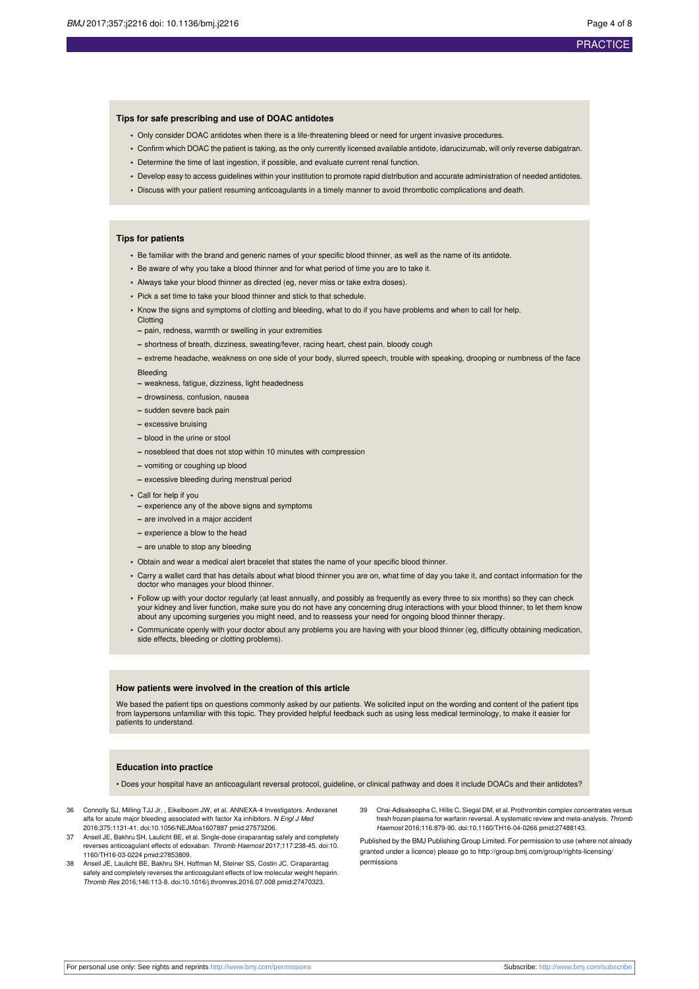#### **Tips for safe prescribing and use of DOAC antidotes**

- **•** Only consider DOAC antidotes when there is a life-threatening bleed or need for urgent invasive procedures.
- **•** Confirm which DOAC the patient is taking, as the only currently licensed available antidote, idarucizumab, will only reverse dabigatran.
- **•** Determine the time of last ingestion, if possible, and evaluate current renal function.
- **•** Develop easy to access guidelines within your institution to promote rapid distribution and accurate administration of needed antidotes.
- **•** Discuss with your patient resuming anticoagulants in a timely manner to avoid thrombotic complications and death.

#### **Tips for patients**

- **•** Be familiar with the brand and generic names of your specific blood thinner, as well as the name of its antidote.
- **•** Be aware of why you take a blood thinner and for what period of time you are to take it.
- **•** Always take your blood thinner as directed (eg, never miss or take extra doses).
- **•** Pick a set time to take your blood thinner and stick to that schedule.
- **•** Know the signs and symptoms of clotting and bleeding, what to do if you have problems and when to call for help. Clotting
- **–** pain, redness, warmth or swelling in your extremities
- **–** shortness of breath, dizziness, sweating/fever, racing heart, chest pain, bloody cough
- **–** extreme headache, weakness on one side of your body, slurred speech, trouble with speaking, drooping or numbness of the face Bleeding
- **–** weakness, fatigue, dizziness, light headedness
- **–** drowsiness, confusion, nausea
- **–** sudden severe back pain
- **–** excessive bruising
- **–** blood in the urine or stool
- **–** nosebleed that does not stop within 10 minutes with compression
- **–** vomiting or coughing up blood
- **–** excessive bleeding during menstrual period
- **•** Call for help if you
- **–** experience any of the above signs and symptoms
- **–** are involved in a major accident
- **–** experience a blow to the head
- **–** are unable to stop any bleeding
- **•** Obtain and wear a medical alert bracelet that states the name of your specific blood thinner.
- **•** Carry a wallet card that has details about what blood thinner you are on, what time of day you take it, and contact information for the doctor who manages your blood thinner.
- **•** Follow up with your doctor regularly (at least annually, and possibly as frequently as every three to six months) so they can check your kidney and liver function, make sure you do not have any concerning drug interactions with your blood thinner, to let them know<br>about any upcoming surgeries you might need, and to reassess your need for ongoing blood
- **•** Communicate openly with your doctor about any problems you are having with your blood thinner (eg, difficulty obtaining medication, side effects, bleeding or clotting problems).

#### **How patients were involved in the creation of this article**

We based the patient tips on questions commonly asked by our patients. We solicited input on the wording and content of the patient tips from laypersons unfamiliar with this topic. They provided helpful feedback such as using less medical terminology, to make it easier for patients to understand.

#### **Education into practice**

• Does your hospital have an anticoagulant reversal protocol, guideline, or clinical pathway and does it include DOACs and their antidotes?

- 36 Connolly SJ, Milling TJJ Jr, , Eikelboom JW, et al. ANNEXA-4 Investigators. Andexanet alfa for acute major bleeding associated with factor Xa inhibitors. N Engl J Med 2016;375:1131-41. [doi:10.1056/NEJMoa1607887](http://dx.doi.org/10.1056/NEJMoa1607887) [pmid:27573206](http://www.ncbi.nlm.nih.gov/pubmed/?term=27573206).
- 37 Ansell JE, Bakhru SH, Laulicht BE, et al. Single-dose ciraparantag safely and completely reverses anticoagulant effects of edoxaban. Thromb Haemost 2017;117:238-45. [doi:10.](http://dx.doi.org/10.1160/TH16-03-0224) [1160/TH16-03-0224](http://dx.doi.org/10.1160/TH16-03-0224) [pmid:27853809.](http://www.ncbi.nlm.nih.gov/pubmed/?term=27853809)
- 38 Ansell JE, Laulicht BE, Bakhru SH, Hoffman M, Steiner SS, Costin JC. Ciraparantag safely and completely reverses the anticoagulant effects of low molecular weight heparin. Thromb Res 2016;146:113-8. [doi:10.1016/j.thromres.2016.07.008](http://dx.doi.org/10.1016/j.thromres.2016.07.008) [pmid:27470323](http://www.ncbi.nlm.nih.gov/pubmed/?term=27470323).
- 39 Chai-Adisaksopha C, Hillis C, Siegal DM, et al. Prothrombin complex concentrates versus fresh frozen plasma for warfarin reversal. A systematic review and meta-analysis. Thromb Haemost 2016;116:879-90. [doi:10.1160/TH16-04-0266](http://dx.doi.org/10.1160/TH16-04-0266) [pmid:27488143](http://www.ncbi.nlm.nih.gov/pubmed/?term=27488143).

Published by the BMJ Publishing Group Limited. For permission to use (where not already granted under a licence) please go to [http://group.bmj.com/group/rights-licensing/](http://group.bmj.com/group/rights-licensing/permissions) [permissions](http://group.bmj.com/group/rights-licensing/permissions)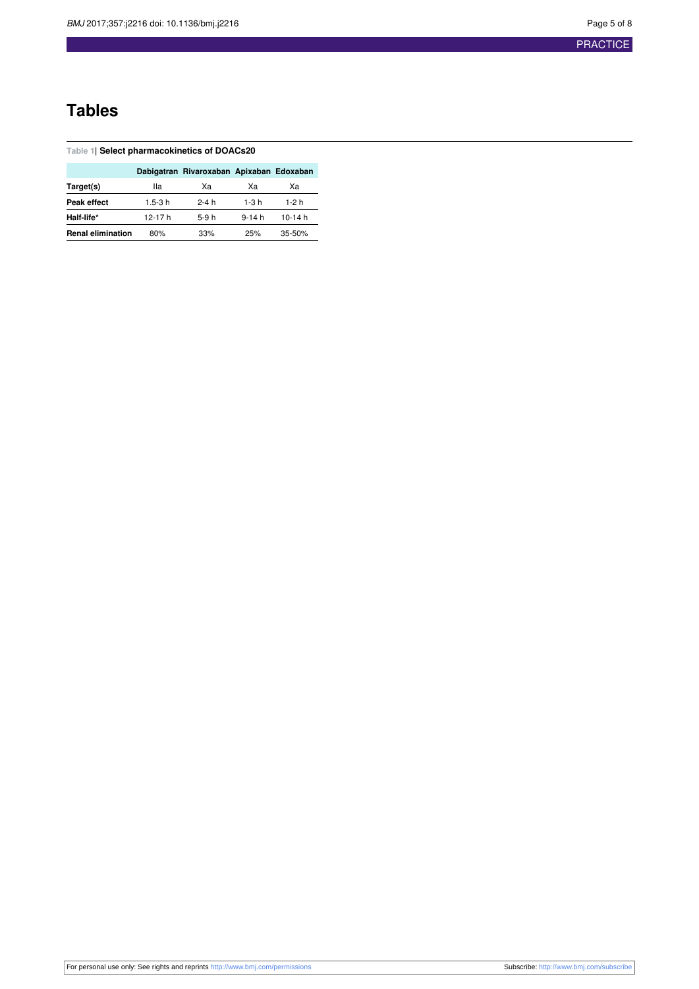### **Tables**

#### <span id="page-4-0"></span>**Table 1| Select pharmacokinetics of DOACs20**

|                          |            | Dabigatran Rivaroxaban Apixaban Edoxaban |         |            |
|--------------------------|------------|------------------------------------------|---------|------------|
| Target(s)                | lla        | Xа                                       | Xа      | Xа         |
| <b>Peak effect</b>       | $1.5 - 3h$ | $2-4h$                                   | $1-3h$  | $1-2h$     |
| Half-life*               | 12-17h     | $5-9h$                                   | $9-14h$ | 10-14 h    |
| <b>Renal elimination</b> | 80%        | 33%                                      | 25%     | $35 - 50%$ |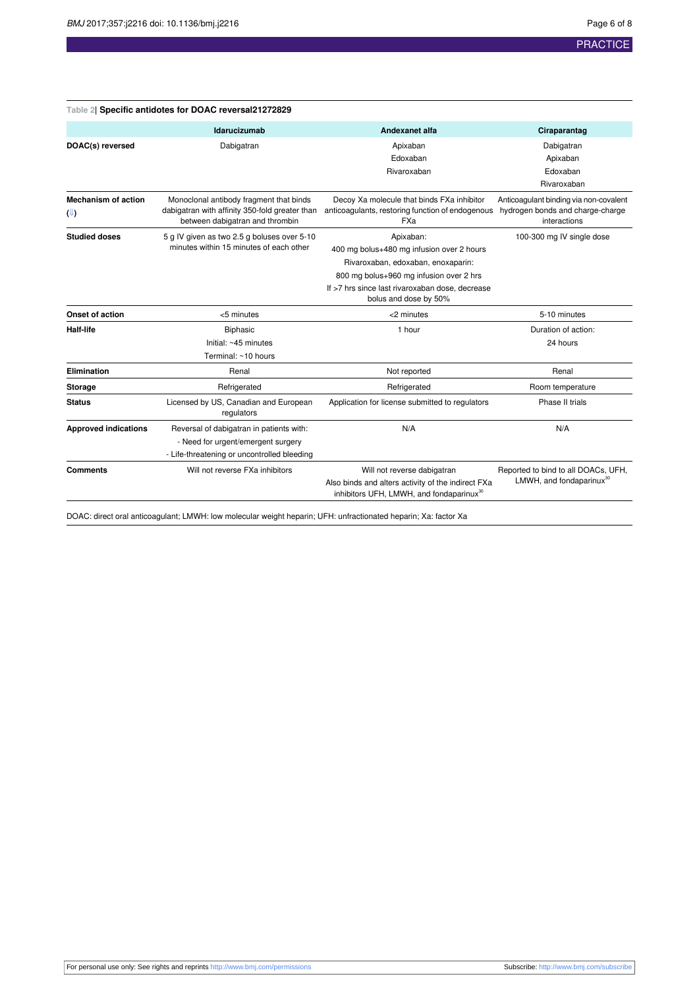<span id="page-5-0"></span>

|                                              | Table 2  Specific antidotes for DOAC reversal21272829                                                                                                                                                                                 |                                                                                                            |                                                                                            |  |
|----------------------------------------------|---------------------------------------------------------------------------------------------------------------------------------------------------------------------------------------------------------------------------------------|------------------------------------------------------------------------------------------------------------|--------------------------------------------------------------------------------------------|--|
|                                              | <b>Idarucizumab</b>                                                                                                                                                                                                                   | <b>Andexanet alfa</b>                                                                                      | Ciraparantag                                                                               |  |
| DOAC(s) reversed                             | Dabigatran                                                                                                                                                                                                                            | Apixaban                                                                                                   | Dabigatran                                                                                 |  |
|                                              |                                                                                                                                                                                                                                       | Edoxaban                                                                                                   | Apixaban                                                                                   |  |
|                                              |                                                                                                                                                                                                                                       | Rivaroxaban                                                                                                | Edoxaban                                                                                   |  |
|                                              |                                                                                                                                                                                                                                       |                                                                                                            | Rivaroxaban                                                                                |  |
| <b>Mechanism of action</b><br>$(\Downarrow)$ | Monoclonal antibody fragment that binds<br>Decoy Xa molecule that binds FXa inhibitor<br>dabigatran with affinity 350-fold greater than<br>anticoagulants, restoring function of endogenous<br>between dabigatran and thrombin<br>FXa |                                                                                                            | Anticoagulant binding via non-covalent<br>hydrogen bonds and charge-charge<br>interactions |  |
| <b>Studied doses</b>                         | 5 g IV given as two 2.5 g boluses over 5-10                                                                                                                                                                                           | Apixaban:                                                                                                  | 100-300 mg IV single dose                                                                  |  |
|                                              | minutes within 15 minutes of each other                                                                                                                                                                                               | 400 mg bolus+480 mg infusion over 2 hours                                                                  |                                                                                            |  |
|                                              |                                                                                                                                                                                                                                       | Rivaroxaban, edoxaban, enoxaparin:                                                                         |                                                                                            |  |
|                                              |                                                                                                                                                                                                                                       | 800 mg bolus+960 mg infusion over 2 hrs                                                                    |                                                                                            |  |
|                                              |                                                                                                                                                                                                                                       | If >7 hrs since last rivaroxaban dose, decrease<br>bolus and dose by 50%                                   |                                                                                            |  |
| Onset of action                              | <5 minutes                                                                                                                                                                                                                            | <2 minutes                                                                                                 | 5-10 minutes                                                                               |  |
| <b>Half-life</b>                             | <b>Biphasic</b>                                                                                                                                                                                                                       | 1 hour                                                                                                     | Duration of action:                                                                        |  |
|                                              | Initial: $~45$ minutes                                                                                                                                                                                                                |                                                                                                            | 24 hours                                                                                   |  |
|                                              | Terminal: ~10 hours                                                                                                                                                                                                                   |                                                                                                            |                                                                                            |  |
| <b>Elimination</b><br>Renal                  |                                                                                                                                                                                                                                       | Not reported                                                                                               | Renal                                                                                      |  |
| Storage                                      | Refrigerated                                                                                                                                                                                                                          | Refrigerated                                                                                               |                                                                                            |  |
| <b>Status</b>                                | Licensed by US, Canadian and European<br>regulators                                                                                                                                                                                   | Application for license submitted to regulators                                                            | Phase II trials                                                                            |  |
| <b>Approved indications</b>                  | Reversal of dabigatran in patients with:                                                                                                                                                                                              | N/A                                                                                                        | N/A                                                                                        |  |
|                                              | - Need for urgent/emergent surgery                                                                                                                                                                                                    |                                                                                                            |                                                                                            |  |
|                                              | - Life-threatening or uncontrolled bleeding                                                                                                                                                                                           |                                                                                                            |                                                                                            |  |
| <b>Comments</b>                              | Will not reverse FXa inhibitors                                                                                                                                                                                                       | Will not reverse dabigatran                                                                                | Reported to bind to all DOACs, UFH,                                                        |  |
|                                              |                                                                                                                                                                                                                                       | Also binds and alters activity of the indirect FXa<br>inhibitors UFH, LMWH, and fondaparinux <sup>30</sup> | LMWH, and fondaparinux <sup>30</sup>                                                       |  |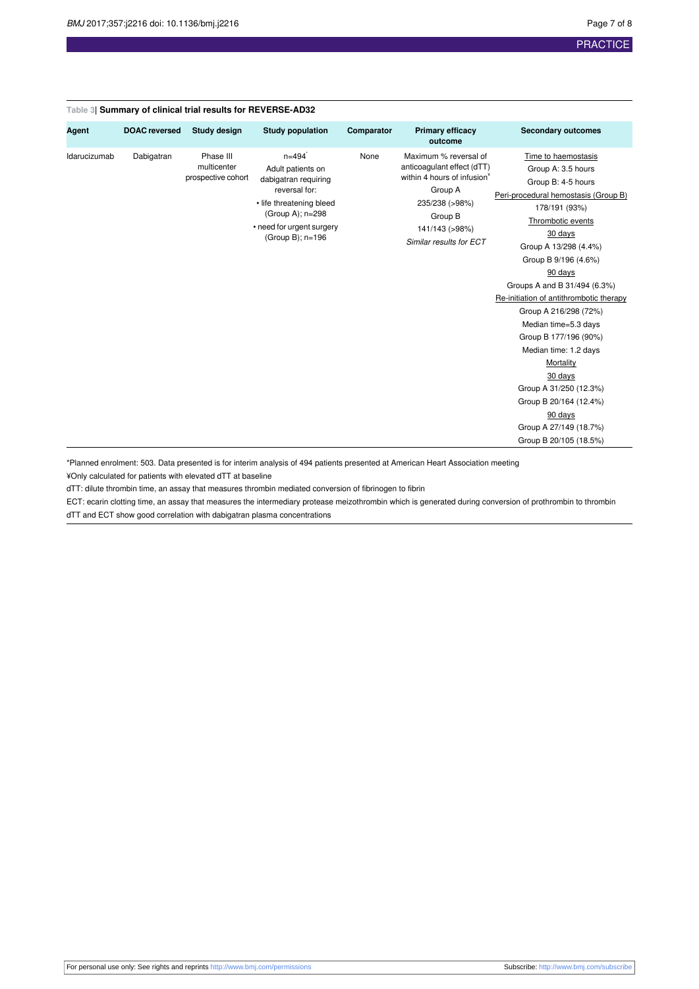| Agent        | <b>DOAC</b> reversed | Study design                                   | <b>Study population</b>                                                                                                                                                  | Comparator | <b>Primary efficacy</b><br>outcome                                                                                                                                      | <b>Secondary outcomes</b>                                                                                                                                                                                                                                                                                                                                                                                                                                                                                                                     |
|--------------|----------------------|------------------------------------------------|--------------------------------------------------------------------------------------------------------------------------------------------------------------------------|------------|-------------------------------------------------------------------------------------------------------------------------------------------------------------------------|-----------------------------------------------------------------------------------------------------------------------------------------------------------------------------------------------------------------------------------------------------------------------------------------------------------------------------------------------------------------------------------------------------------------------------------------------------------------------------------------------------------------------------------------------|
| Idarucizumab | Dabigatran           | Phase III<br>multicenter<br>prospective cohort | $n = 494$<br>Adult patients on<br>dabigatran requiring<br>reversal for:<br>• life threatening bleed<br>(Group A); n=298<br>• need for urgent surgery<br>(Group B); n=196 | None       | Maximum % reversal of<br>anticoagulant effect (dTT)<br>within 4 hours of infusion*<br>Group A<br>235/238 (>98%)<br>Group B<br>141/143 (>98%)<br>Similar results for ECT | Time to haemostasis<br>Group A: 3.5 hours<br>Group B: 4-5 hours<br>Peri-procedural hemostasis (Group B)<br>178/191 (93%)<br>Thrombotic events<br>30 days<br>Group A 13/298 (4.4%)<br>Group B 9/196 (4.6%)<br>90 days<br>Groups A and B 31/494 (6.3%)<br>Re-initiation of antithrombotic therapy<br>Group A 216/298 (72%)<br>Median time=5.3 days<br>Group B 177/196 (90%)<br>Median time: 1.2 days<br>Mortality<br>30 days<br>Group A 31/250 (12.3%)<br>Group B 20/164 (12.4%)<br>90 days<br>Group A 27/149 (18.7%)<br>Group B 20/105 (18.5%) |

<span id="page-6-0"></span>**Table 3| Summary of clinical trial results for REVERSE-AD32**

\*Planned enrolment: 503. Data presented is for interim analysis of 494 patients presented at American Heart Association meeting

¥Only calculated for patients with elevated dTT at baseline

dTT: dilute thrombin time, an assay that measures thrombin mediated conversion of fibrinogen to fibrin

ECT: ecarin clotting time, an assay that measures the intermediary protease meizothrombin which is generated during conversion of prothrombin to thrombin

dTT and ECT show good correlation with dabigatran plasma concentrations